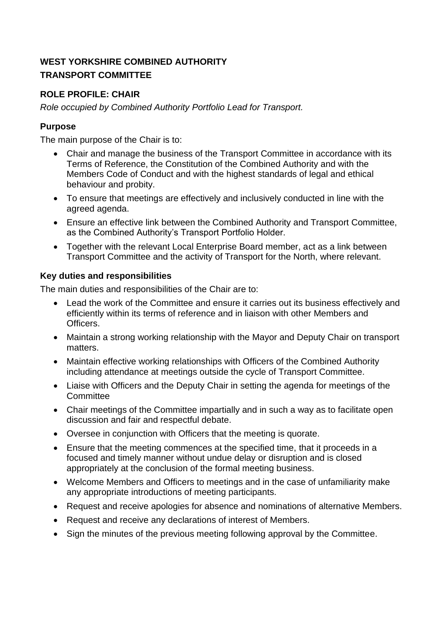## **ROLE PROFILE: CHAIR**

*Role occupied by Combined Authority Portfolio Lead for Transport.*

## **Purpose**

The main purpose of the Chair is to:

- Chair and manage the business of the Transport Committee in accordance with its Terms of Reference, the Constitution of the Combined Authority and with the Members Code of Conduct and with the highest standards of legal and ethical behaviour and probity.
- To ensure that meetings are effectively and inclusively conducted in line with the agreed agenda.
- Ensure an effective link between the Combined Authority and Transport Committee, as the Combined Authority's Transport Portfolio Holder.
- Together with the relevant Local Enterprise Board member, act as a link between Transport Committee and the activity of Transport for the North, where relevant.

#### **Key duties and responsibilities**

The main duties and responsibilities of the Chair are to:

- Lead the work of the Committee and ensure it carries out its business effectively and efficiently within its terms of reference and in liaison with other Members and Officers.
- Maintain a strong working relationship with the Mayor and Deputy Chair on transport matters.
- Maintain effective working relationships with Officers of the Combined Authority including attendance at meetings outside the cycle of Transport Committee.
- Liaise with Officers and the Deputy Chair in setting the agenda for meetings of the **Committee**
- Chair meetings of the Committee impartially and in such a way as to facilitate open discussion and fair and respectful debate.
- Oversee in conjunction with Officers that the meeting is quorate.
- Ensure that the meeting commences at the specified time, that it proceeds in a focused and timely manner without undue delay or disruption and is closed appropriately at the conclusion of the formal meeting business.
- Welcome Members and Officers to meetings and in the case of unfamiliarity make any appropriate introductions of meeting participants.
- Request and receive apologies for absence and nominations of alternative Members.
- Request and receive any declarations of interest of Members.
- Sign the minutes of the previous meeting following approval by the Committee.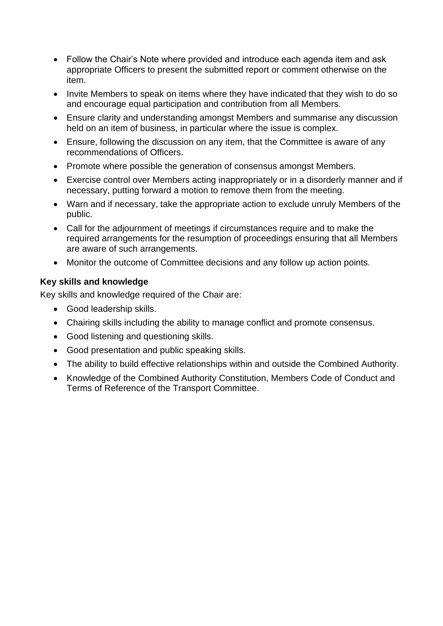- Follow the Chair's Note where provided and introduce each agenda item and ask appropriate Officers to present the submitted report or comment otherwise on the item.
- Invite Members to speak on items where they have indicated that they wish to do so and encourage equal participation and contribution from all Members.
- Ensure clarity and understanding amongst Members and summarise any discussion held on an item of business, in particular where the issue is complex.
- Ensure, following the discussion on any item, that the Committee is aware of any recommendations of Officers.
- Promote where possible the generation of consensus amongst Members.
- Exercise control over Members acting inappropriately or in a disorderly manner and if necessary, putting forward a motion to remove them from the meeting.
- Warn and if necessary, take the appropriate action to exclude unruly Members of the public.
- Call for the adjournment of meetings if circumstances require and to make the required arrangements for the resumption of proceedings ensuring that all Members are aware of such arrangements.
- Monitor the outcome of Committee decisions and any follow up action points.

#### **Key skills and knowledge**

Key skills and knowledge required of the Chair are:

- Good leadership skills.
- Chairing skills including the ability to manage conflict and promote consensus.
- Good listening and questioning skills.
- Good presentation and public speaking skills.
- The ability to build effective relationships within and outside the Combined Authority.
- Knowledge of the Combined Authority Constitution, Members Code of Conduct and Terms of Reference of the Transport Committee.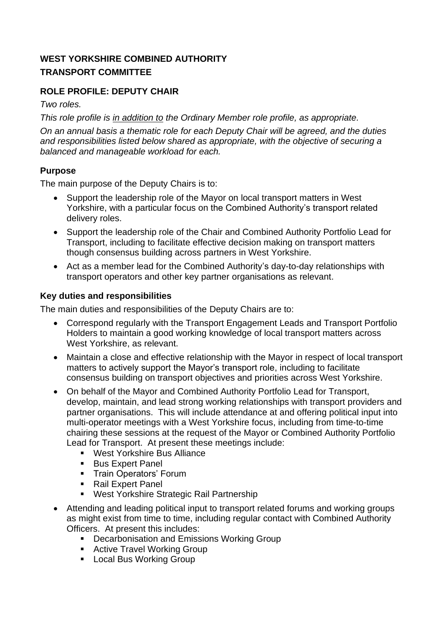# **ROLE PROFILE: DEPUTY CHAIR**

*Two roles.*

*This role profile is in addition to the Ordinary Member role profile, as appropriate. On an annual basis a thematic role for each Deputy Chair will be agreed, and the duties and responsibilities listed below shared as appropriate, with the objective of securing a balanced and manageable workload for each.*

#### **Purpose**

The main purpose of the Deputy Chairs is to:

- Support the leadership role of the Mayor on local transport matters in West Yorkshire, with a particular focus on the Combined Authority's transport related delivery roles.
- Support the leadership role of the Chair and Combined Authority Portfolio Lead for Transport, including to facilitate effective decision making on transport matters though consensus building across partners in West Yorkshire.
- Act as a member lead for the Combined Authority's day-to-day relationships with transport operators and other key partner organisations as relevant.

#### **Key duties and responsibilities**

The main duties and responsibilities of the Deputy Chairs are to:

- Correspond regularly with the Transport Engagement Leads and Transport Portfolio Holders to maintain a good working knowledge of local transport matters across West Yorkshire, as relevant.
- Maintain a close and effective relationship with the Mayor in respect of local transport matters to actively support the Mayor's transport role, including to facilitate consensus building on transport objectives and priorities across West Yorkshire.
- On behalf of the Mayor and Combined Authority Portfolio Lead for Transport, develop, maintain, and lead strong working relationships with transport providers and partner organisations. This will include attendance at and offering political input into multi-operator meetings with a West Yorkshire focus, including from time-to-time chairing these sessions at the request of the Mayor or Combined Authority Portfolio Lead for Transport. At present these meetings include:
	- West Yorkshire Bus Alliance
	- Bus Expert Panel
	- **·** Train Operators' Forum
	- Rail Expert Panel
	- West Yorkshire Strategic Rail Partnership
- Attending and leading political input to transport related forums and working groups as might exist from time to time, including regular contact with Combined Authority Officers. At present this includes:
	- Decarbonisation and Emissions Working Group
	- Active Travel Working Group
	- Local Bus Working Group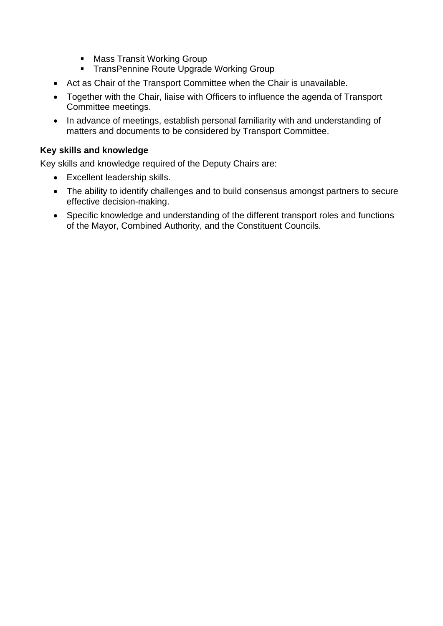- Mass Transit Working Group
- **TransPennine Route Upgrade Working Group**
- Act as Chair of the Transport Committee when the Chair is unavailable.
- Together with the Chair, liaise with Officers to influence the agenda of Transport Committee meetings.
- In advance of meetings, establish personal familiarity with and understanding of matters and documents to be considered by Transport Committee.

#### **Key skills and knowledge**

Key skills and knowledge required of the Deputy Chairs are:

- Excellent leadership skills.
- The ability to identify challenges and to build consensus amongst partners to secure effective decision-making.
- Specific knowledge and understanding of the different transport roles and functions of the Mayor, Combined Authority, and the Constituent Councils.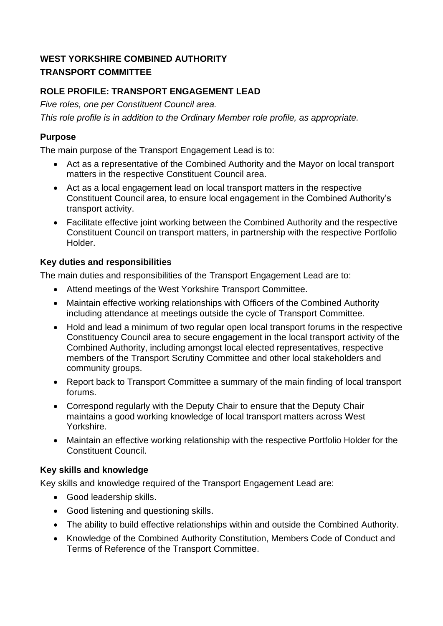# **ROLE PROFILE: TRANSPORT ENGAGEMENT LEAD**

*Five roles, one per Constituent Council area.*

*This role profile is in addition to the Ordinary Member role profile, as appropriate.*

#### **Purpose**

The main purpose of the Transport Engagement Lead is to:

- Act as a representative of the Combined Authority and the Mayor on local transport matters in the respective Constituent Council area.
- Act as a local engagement lead on local transport matters in the respective Constituent Council area, to ensure local engagement in the Combined Authority's transport activity.
- Facilitate effective joint working between the Combined Authority and the respective Constituent Council on transport matters, in partnership with the respective Portfolio Holder.

## **Key duties and responsibilities**

The main duties and responsibilities of the Transport Engagement Lead are to:

- Attend meetings of the West Yorkshire Transport Committee.
- Maintain effective working relationships with Officers of the Combined Authority including attendance at meetings outside the cycle of Transport Committee.
- Hold and lead a minimum of two regular open local transport forums in the respective Constituency Council area to secure engagement in the local transport activity of the Combined Authority, including amongst local elected representatives, respective members of the Transport Scrutiny Committee and other local stakeholders and community groups.
- Report back to Transport Committee a summary of the main finding of local transport forums.
- Correspond regularly with the Deputy Chair to ensure that the Deputy Chair maintains a good working knowledge of local transport matters across West Yorkshire.
- Maintain an effective working relationship with the respective Portfolio Holder for the Constituent Council.

#### **Key skills and knowledge**

Key skills and knowledge required of the Transport Engagement Lead are:

- Good leadership skills.
- Good listening and questioning skills.
- The ability to build effective relationships within and outside the Combined Authority.
- Knowledge of the Combined Authority Constitution, Members Code of Conduct and Terms of Reference of the Transport Committee.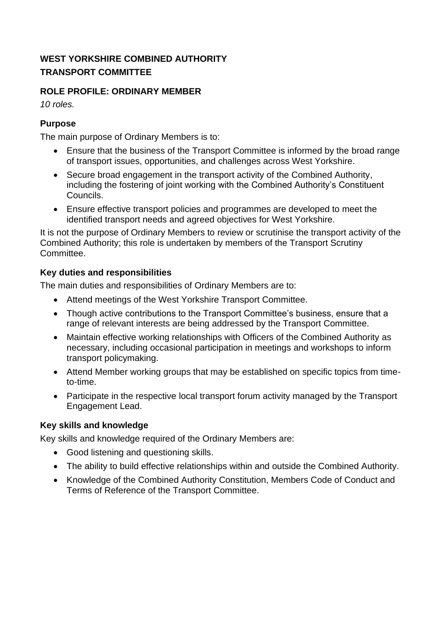## **ROLE PROFILE: ORDINARY MEMBER**

*10 roles.*

#### **Purpose**

The main purpose of Ordinary Members is to:

- Ensure that the business of the Transport Committee is informed by the broad range of transport issues, opportunities, and challenges across West Yorkshire.
- Secure broad engagement in the transport activity of the Combined Authority, including the fostering of joint working with the Combined Authority's Constituent Councils.
- Ensure effective transport policies and programmes are developed to meet the identified transport needs and agreed objectives for West Yorkshire.

It is not the purpose of Ordinary Members to review or scrutinise the transport activity of the Combined Authority; this role is undertaken by members of the Transport Scrutiny Committee.

## **Key duties and responsibilities**

The main duties and responsibilities of Ordinary Members are to:

- Attend meetings of the West Yorkshire Transport Committee.
- Though active contributions to the Transport Committee's business, ensure that a range of relevant interests are being addressed by the Transport Committee.
- Maintain effective working relationships with Officers of the Combined Authority as necessary, including occasional participation in meetings and workshops to inform transport policymaking.
- Attend Member working groups that may be established on specific topics from timeto-time.
- Participate in the respective local transport forum activity managed by the Transport Engagement Lead.

#### **Key skills and knowledge**

Key skills and knowledge required of the Ordinary Members are:

- Good listening and questioning skills.
- The ability to build effective relationships within and outside the Combined Authority.
- Knowledge of the Combined Authority Constitution, Members Code of Conduct and Terms of Reference of the Transport Committee.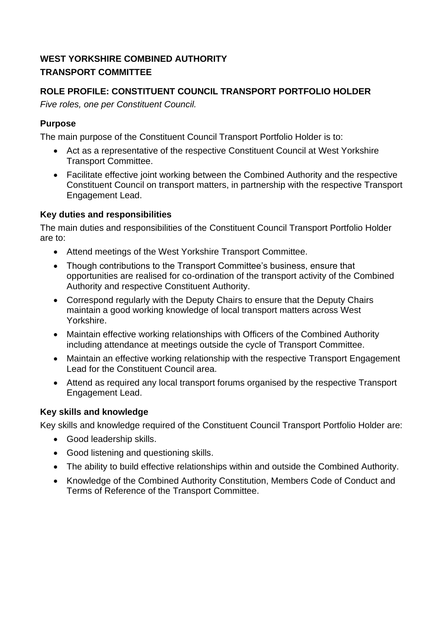# **ROLE PROFILE: CONSTITUENT COUNCIL TRANSPORT PORTFOLIO HOLDER**

*Five roles, one per Constituent Council.*

## **Purpose**

The main purpose of the Constituent Council Transport Portfolio Holder is to:

- Act as a representative of the respective Constituent Council at West Yorkshire Transport Committee.
- Facilitate effective joint working between the Combined Authority and the respective Constituent Council on transport matters, in partnership with the respective Transport Engagement Lead.

# **Key duties and responsibilities**

The main duties and responsibilities of the Constituent Council Transport Portfolio Holder are to:

- Attend meetings of the West Yorkshire Transport Committee.
- Though contributions to the Transport Committee's business, ensure that opportunities are realised for co-ordination of the transport activity of the Combined Authority and respective Constituent Authority.
- Correspond regularly with the Deputy Chairs to ensure that the Deputy Chairs maintain a good working knowledge of local transport matters across West Yorkshire.
- Maintain effective working relationships with Officers of the Combined Authority including attendance at meetings outside the cycle of Transport Committee.
- Maintain an effective working relationship with the respective Transport Engagement Lead for the Constituent Council area.
- Attend as required any local transport forums organised by the respective Transport Engagement Lead.

# **Key skills and knowledge**

Key skills and knowledge required of the Constituent Council Transport Portfolio Holder are:

- Good leadership skills.
- Good listening and questioning skills.
- The ability to build effective relationships within and outside the Combined Authority.
- Knowledge of the Combined Authority Constitution, Members Code of Conduct and Terms of Reference of the Transport Committee.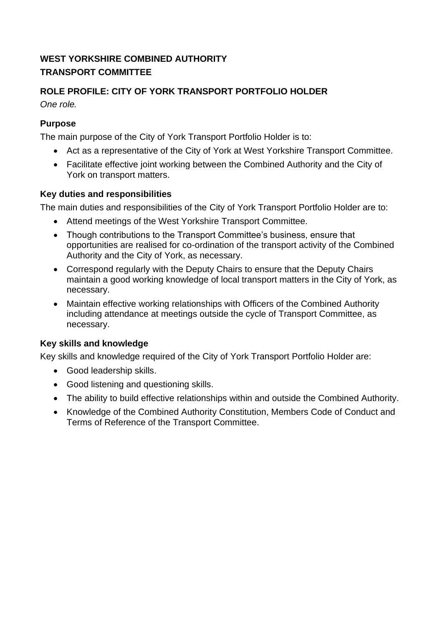# **ROLE PROFILE: CITY OF YORK TRANSPORT PORTFOLIO HOLDER**

*One role.*

#### **Purpose**

The main purpose of the City of York Transport Portfolio Holder is to:

- Act as a representative of the City of York at West Yorkshire Transport Committee.
- Facilitate effective joint working between the Combined Authority and the City of York on transport matters.

#### **Key duties and responsibilities**

The main duties and responsibilities of the City of York Transport Portfolio Holder are to:

- Attend meetings of the West Yorkshire Transport Committee.
- Though contributions to the Transport Committee's business, ensure that opportunities are realised for co-ordination of the transport activity of the Combined Authority and the City of York, as necessary.
- Correspond regularly with the Deputy Chairs to ensure that the Deputy Chairs maintain a good working knowledge of local transport matters in the City of York, as necessary.
- Maintain effective working relationships with Officers of the Combined Authority including attendance at meetings outside the cycle of Transport Committee, as necessary.

# **Key skills and knowledge**

Key skills and knowledge required of the City of York Transport Portfolio Holder are:

- Good leadership skills.
- Good listening and questioning skills.
- The ability to build effective relationships within and outside the Combined Authority.
- Knowledge of the Combined Authority Constitution, Members Code of Conduct and Terms of Reference of the Transport Committee.